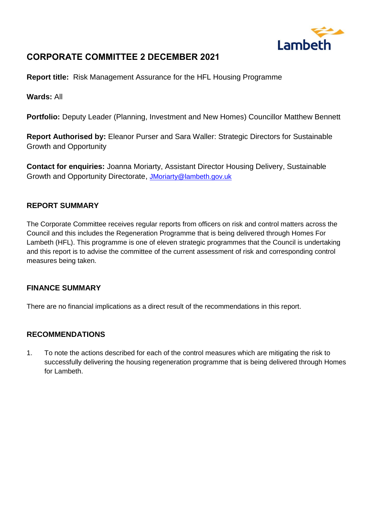

# **CORPORATE COMMITTEE 2 DECEMBER 2021**

**Report title:** Risk Management Assurance for the HFL Housing Programme

**Wards:** All

**Portfolio:** Deputy Leader (Planning, Investment and New Homes) Councillor Matthew Bennett

**Report Authorised by:** Eleanor Purser and Sara Waller: Strategic Directors for Sustainable Growth and Opportunity

**Contact for enquiries:** Joanna Moriarty, Assistant Director Housing Delivery, Sustainable Growth and Opportunity Directorate, [JMoriarty@lambeth.gov.uk](mailto:JMoriarty@lambeth.gov.uk)

### **REPORT SUMMARY**

The Corporate Committee receives regular reports from officers on risk and control matters across the Council and this includes the Regeneration Programme that is being delivered through Homes For Lambeth (HFL). This programme is one of eleven strategic programmes that the Council is undertaking and this report is to advise the committee of the current assessment of risk and corresponding control measures being taken.

### **FINANCE SUMMARY**

There are no financial implications as a direct result of the recommendations in this report.

## **RECOMMENDATIONS**

1. To note the actions described for each of the control measures which are mitigating the risk to successfully delivering the housing regeneration programme that is being delivered through Homes for Lambeth.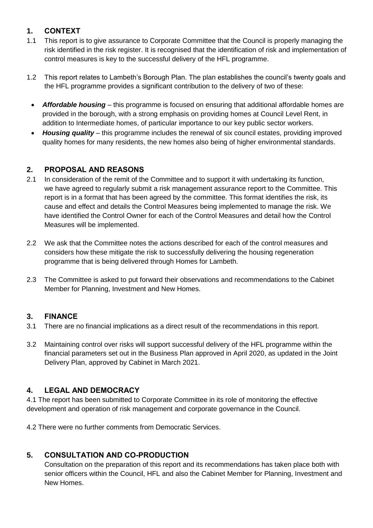## **1. CONTEXT**

- 1.1 This report is to give assurance to Corporate Committee that the Council is properly managing the risk identified in the risk register. It is recognised that the identification of risk and implementation of control measures is key to the successful delivery of the HFL programme.
- 1.2 This report relates to Lambeth's Borough Plan. The plan establishes the council's twenty goals and the HFL programme provides a significant contribution to the delivery of two of these:
	- *Affordable housing* this programme is focused on ensuring that additional affordable homes are provided in the borough, with a strong emphasis on providing homes at Council Level Rent, in addition to Intermediate homes, of particular importance to our key public sector workers.
	- *Housing quality* this programme includes the renewal of six council estates, providing improved quality homes for many residents, the new homes also being of higher environmental standards.

## **2. PROPOSAL AND REASONS**

- 2.1 In consideration of the remit of the Committee and to support it with undertaking its function, we have agreed to regularly submit a risk management assurance report to the Committee. This report is in a format that has been agreed by the committee. This format identifies the risk, its cause and effect and details the Control Measures being implemented to manage the risk. We have identified the Control Owner for each of the Control Measures and detail how the Control Measures will be implemented.
- 2.2 We ask that the Committee notes the actions described for each of the control measures and considers how these mitigate the risk to successfully delivering the housing regeneration programme that is being delivered through Homes for Lambeth.
- 2.3 The Committee is asked to put forward their observations and recommendations to the Cabinet Member for Planning, Investment and New Homes.

## **3. FINANCE**

- 3.1 There are no financial implications as a direct result of the recommendations in this report.
- 3.2 Maintaining control over risks will support successful delivery of the HFL programme within the financial parameters set out in the Business Plan approved in April 2020, as updated in the Joint Delivery Plan, approved by Cabinet in March 2021.

## **4. LEGAL AND DEMOCRACY**

4.1 The report has been submitted to Corporate Committee in its role of monitoring the effective development and operation of risk management and corporate governance in the Council.

4.2 There were no further comments from Democratic Services.

## **5. CONSULTATION AND CO-PRODUCTION**

Consultation on the preparation of this report and its recommendations has taken place both with senior officers within the Council, HFL and also the Cabinet Member for Planning, Investment and New Homes.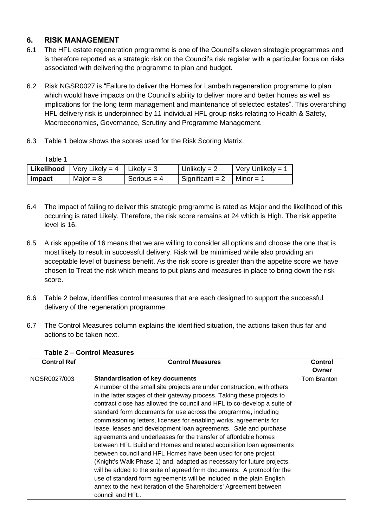## **6. RISK MANAGEMENT**

- 6.1 The HFL estate regeneration programme is one of the Council's eleven strategic programmes and is therefore reported as a strategic risk on the Council's risk register with a particular focus on risks associated with delivering the programme to plan and budget.
- 6.2 Risk NGSR0027 is "Failure to deliver the Homes for Lambeth regeneration programme to plan which would have impacts on the Council's ability to deliver more and better homes as well as implications for the long term management and maintenance of selected estates". This overarching HFL delivery risk is underpinned by 11 individual HFL group risks relating to Health & Safety, Macroeconomics, Governance, Scrutiny and Programme Management.
- 6.3 Table 1 below shows the scores used for the Risk Scoring Matrix.

| Table 1 |               |                                                      |               |                   |                   |
|---------|---------------|------------------------------------------------------|---------------|-------------------|-------------------|
|         |               | <b>Likelihood</b>   Very Likely = $4$   Likely = $3$ |               | Unlikely = $2$    | Very Unlikely = 1 |
|         | <b>Impact</b> | Major = $8$                                          | Serious = $4$ | Significant = $2$ | $Minor = 1$       |

- 6.4 The impact of failing to deliver this strategic programme is rated as Major and the likelihood of this occurring is rated Likely. Therefore, the risk score remains at 24 which is High. The risk appetite level is 16.
- 6.5 A risk appetite of 16 means that we are willing to consider all options and choose the one that is most likely to result in successful delivery. Risk will be minimised while also providing an acceptable level of business benefit. As the risk score is greater than the appetite score we have chosen to Treat the risk which means to put plans and measures in place to bring down the risk score.
- 6.6 Table 2 below, identifies control measures that are each designed to support the successful delivery of the regeneration programme.
- 6.7 The Control Measures column explains the identified situation, the actions taken thus far and actions to be taken next.

| <b>Control Ref</b> | <b>Control Measures</b>                                                 | <b>Control</b> |
|--------------------|-------------------------------------------------------------------------|----------------|
|                    |                                                                         | Owner          |
| NGSR0027/003       | <b>Standardisation of key documents</b>                                 | Tom Branton    |
|                    | A number of the small site projects are under construction, with others |                |
|                    | in the latter stages of their gateway process. Taking these projects to |                |
|                    | contract close has allowed the council and HFL to co-develop a suite of |                |
|                    | standard form documents for use across the programme, including         |                |
|                    | commissioning letters, licenses for enabling works, agreements for      |                |
|                    | lease, leases and development loan agreements. Sale and purchase        |                |
|                    | agreements and underleases for the transfer of affordable homes         |                |
|                    | between HFL Build and Homes and related acquisition loan agreements     |                |
|                    | between council and HFL Homes have been used for one project            |                |
|                    | (Knight's Walk Phase 1) and, adapted as necessary for future projects,  |                |
|                    | will be added to the suite of agreed form documents. A protocol for the |                |
|                    | use of standard form agreements will be included in the plain English   |                |
|                    | annex to the next iteration of the Shareholders' Agreement between      |                |
|                    | council and HFL.                                                        |                |

#### **Table 2 – Control Measures**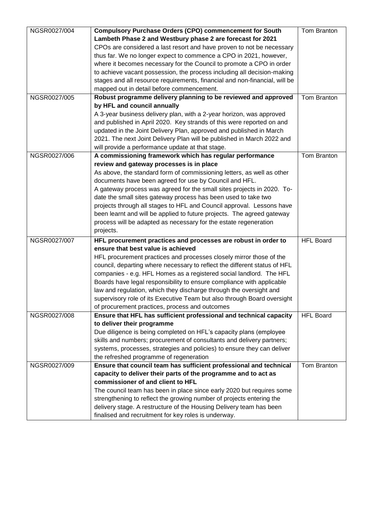| NGSR0027/004 | <b>Compulsory Purchase Orders (CPO) commencement for South</b>             | Tom Branton      |
|--------------|----------------------------------------------------------------------------|------------------|
|              | Lambeth Phase 2 and Westbury phase 2 are forecast for 2021                 |                  |
|              | CPOs are considered a last resort and have proven to not be necessary      |                  |
|              | thus far. We no longer expect to commence a CPO in 2021, however,          |                  |
|              | where it becomes necessary for the Council to promote a CPO in order       |                  |
|              | to achieve vacant possession, the process including all decision-making    |                  |
|              | stages and all resource requirements, financial and non-financial, will be |                  |
|              | mapped out in detail before commencement.                                  |                  |
| NGSR0027/005 | Robust programme delivery planning to be reviewed and approved             | Tom Branton      |
|              | by HFL and council annually                                                |                  |
|              | A 3-year business delivery plan, with a 2-year horizon, was approved       |                  |
|              | and published in April 2020. Key strands of this were reported on and      |                  |
|              | updated in the Joint Delivery Plan, approved and published in March        |                  |
|              | 2021. The next Joint Delivery Plan will be published in March 2022 and     |                  |
|              | will provide a performance update at that stage.                           |                  |
| NGSR0027/006 | A commissioning framework which has regular performance                    | Tom Branton      |
|              | review and gateway processes is in place                                   |                  |
|              | As above, the standard form of commissioning letters, as well as other     |                  |
|              | documents have been agreed for use by Council and HFL.                     |                  |
|              | A gateway process was agreed for the small sites projects in 2020. To-     |                  |
|              | date the small sites gateway process has been used to take two             |                  |
|              | projects through all stages to HFL and Council approval. Lessons have      |                  |
|              | been learnt and will be applied to future projects. The agreed gateway     |                  |
|              | process will be adapted as necessary for the estate regeneration           |                  |
|              | projects.                                                                  |                  |
| NGSR0027/007 | HFL procurement practices and processes are robust in order to             | <b>HFL Board</b> |
|              | ensure that best value is achieved                                         |                  |
|              | HFL procurement practices and processes closely mirror those of the        |                  |
|              | council, departing where necessary to reflect the different status of HFL  |                  |
|              | companies - e.g. HFL Homes as a registered social landlord. The HFL        |                  |
|              | Boards have legal responsibility to ensure compliance with applicable      |                  |
|              | law and regulation, which they discharge through the oversight and         |                  |
|              | supervisory role of its Executive Team but also through Board oversight    |                  |
|              | of procurement practices, process and outcomes                             |                  |
| NGSR0027/008 | Ensure that HFL has sufficient professional and technical capacity         | <b>HFL Board</b> |
|              | to deliver their programme                                                 |                  |
|              | Due diligence is being completed on HFL's capacity plans (employee         |                  |
|              | skills and numbers; procurement of consultants and delivery partners;      |                  |
|              | systems, processes, strategies and policies) to ensure they can deliver    |                  |
|              | the refreshed programme of regeneration                                    |                  |
| NGSR0027/009 | Ensure that council team has sufficient professional and technical         | Tom Branton      |
|              | capacity to deliver their parts of the programme and to act as             |                  |
|              | commissioner of and client to HFL                                          |                  |
|              | The council team has been in place since early 2020 but requires some      |                  |
|              | strengthening to reflect the growing number of projects entering the       |                  |
|              | delivery stage. A restructure of the Housing Delivery team has been        |                  |
|              | finalised and recruitment for key roles is underway.                       |                  |
|              |                                                                            |                  |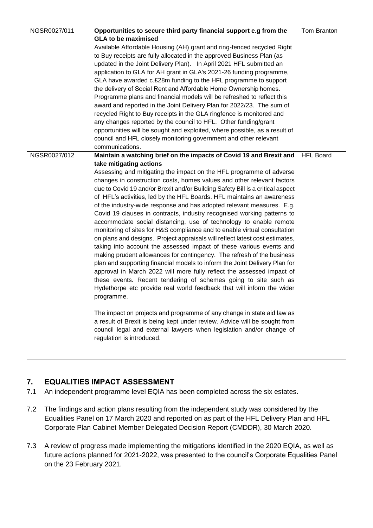| NGSR0027/011 | Opportunities to secure third party financial support e.g from the             | Tom Branton      |
|--------------|--------------------------------------------------------------------------------|------------------|
|              | <b>GLA to be maximised</b>                                                     |                  |
|              | Available Affordable Housing (AH) grant and ring-fenced recycled Right         |                  |
|              | to Buy receipts are fully allocated in the approved Business Plan (as          |                  |
|              | updated in the Joint Delivery Plan). In April 2021 HFL submitted an            |                  |
|              | application to GLA for AH grant in GLA's 2021-26 funding programme,            |                  |
|              | GLA have awarded c.£28m funding to the HFL programme to support                |                  |
|              | the delivery of Social Rent and Affordable Home Ownership homes.               |                  |
|              | Programme plans and financial models will be refreshed to reflect this         |                  |
|              | award and reported in the Joint Delivery Plan for 2022/23. The sum of          |                  |
|              | recycled Right to Buy receipts in the GLA ringfence is monitored and           |                  |
|              | any changes reported by the council to HFL. Other funding/grant                |                  |
|              | opportunities will be sought and exploited, where possible, as a result of     |                  |
|              | council and HFL closely monitoring government and other relevant               |                  |
|              | communications.                                                                |                  |
| NGSR0027/012 | Maintain a watching brief on the impacts of Covid 19 and Brexit and            | <b>HFL Board</b> |
|              | take mitigating actions                                                        |                  |
|              | Assessing and mitigating the impact on the HFL programme of adverse            |                  |
|              | changes in construction costs, homes values and other relevant factors         |                  |
|              | due to Covid 19 and/or Brexit and/or Building Safety Bill is a critical aspect |                  |
|              | of HFL's activities, led by the HFL Boards. HFL maintains an awareness         |                  |
|              | of the industry-wide response and has adopted relevant measures. E.g.          |                  |
|              | Covid 19 clauses in contracts, industry recognised working patterns to         |                  |
|              | accommodate social distancing, use of technology to enable remote              |                  |
|              | monitoring of sites for H&S compliance and to enable virtual consultation      |                  |
|              | on plans and designs. Project appraisals will reflect latest cost estimates,   |                  |
|              | taking into account the assessed impact of these various events and            |                  |
|              | making prudent allowances for contingency. The refresh of the business         |                  |
|              | plan and supporting financial models to inform the Joint Delivery Plan for     |                  |
|              | approval in March 2022 will more fully reflect the assessed impact of          |                  |
|              | these events. Recent tendering of schemes going to site such as                |                  |
|              | Hydethorpe etc provide real world feedback that will inform the wider          |                  |
|              | programme.                                                                     |                  |
|              |                                                                                |                  |
|              | The impact on projects and programme of any change in state aid law as         |                  |
|              | a result of Brexit is being kept under review. Advice will be sought from      |                  |
|              | council legal and external lawyers when legislation and/or change of           |                  |
|              | regulation is introduced.                                                      |                  |
|              |                                                                                |                  |
|              |                                                                                |                  |

## **7. EQUALITIES IMPACT ASSESSMENT**

- 7.1 An independent programme level EQIA has been completed across the six estates.
- 7.2 The findings and action plans resulting from the independent study was considered by the Equalities Panel on 17 March 2020 and reported on as part of the HFL Delivery Plan and HFL Corporate Plan Cabinet Member Delegated Decision Report (CMDDR), 30 March 2020.
- 7.3 A review of progress made implementing the mitigations identified in the 2020 EQIA, as well as future actions planned for 2021-2022, was presented to the council's Corporate Equalities Panel on the 23 February 2021.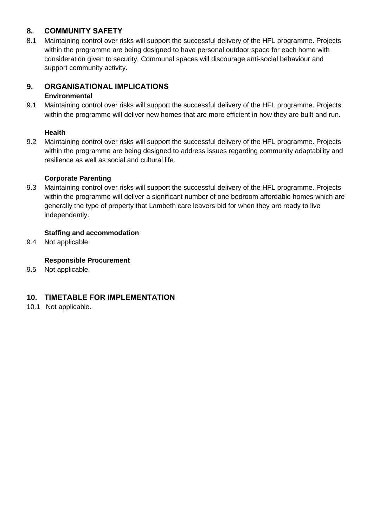## **8. COMMUNITY SAFETY**

8.1 Maintaining control over risks will support the successful delivery of the HFL programme. Projects within the programme are being designed to have personal outdoor space for each home with consideration given to security. Communal spaces will discourage anti-social behaviour and support community activity.

#### **9. ORGANISATIONAL IMPLICATIONS Environmental**

9.1 Maintaining control over risks will support the successful delivery of the HFL programme. Projects within the programme will deliver new homes that are more efficient in how they are built and run.

## **Health**

9.2 Maintaining control over risks will support the successful delivery of the HFL programme. Projects within the programme are being designed to address issues regarding community adaptability and resilience as well as social and cultural life.

### **Corporate Parenting**

9.3 Maintaining control over risks will support the successful delivery of the HFL programme. Projects within the programme will deliver a significant number of one bedroom affordable homes which are generally the type of property that Lambeth care leavers bid for when they are ready to live independently.

### **Staffing and accommodation**

9.4 Not applicable.

## **Responsible Procurement**

9.5 Not applicable.

## **10. TIMETABLE FOR IMPLEMENTATION**

10.1 Not applicable.